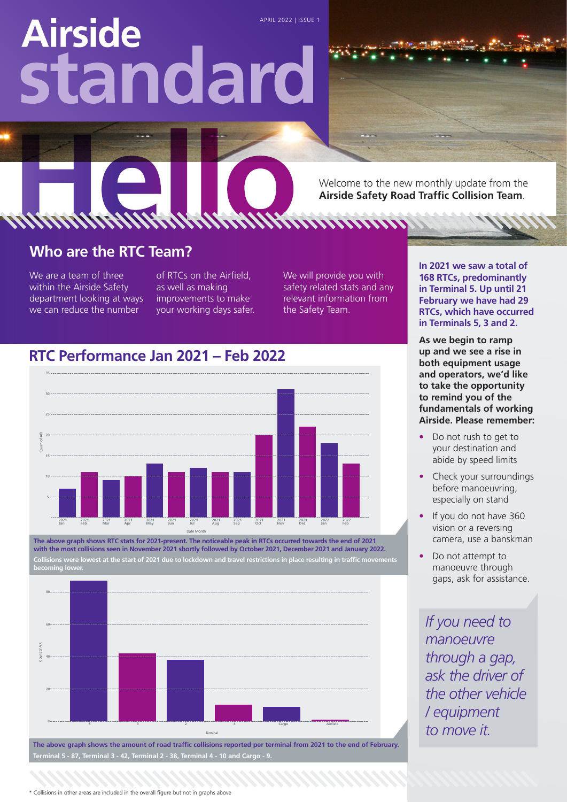# **Airside** standard

Welcome to the new monthly update from the **Airside Safety Road Traffic Collision Team**.

#### **Who are the RTC Team?**

We are a team of three within the Airside Safety department looking at ways we can reduce the number

of RTCs on the Airfield, as well as making improvements to make your working days safer. We will provide you with safety related stats and any relevant information from the Safety Team.

**In 2021 we saw a total of 168 RTCs, predominantly in Terminal 5. Up until 21 February we have had 29 RTCs, which have occurred in Terminals 5, 3 and 2.**

**As we begin to ramp up and we see a rise in both equipment usage and operators, we'd like to take the opportunity to remind you of the fundamentals of working Airside. Please remember:**

- Do not rush to get to your destination and abide by speed limits
- Check your surroundings before manoeuvring, especially on stand
- If you do not have 360 vision or a reversing camera, use a banskman
- Do not attempt to manoeuvre through gaps, ask for assistance.

*If you need to manoeuvre through a gap, ask the driver of the other vehicle / equipment to move it.*

#### **RTC Performance Jan 2021 – Feb 2022**



**The above graph shows RTC stats for 2021-present. The noticeable peak in RTCs occurred towards the end of 2021 with the most collisions seen in November 2021 shortly followed by October 2021, December 2021 and January 2022. Collisions were lowest at the start of 2021 due to lockdown and travel restrictions in place resulting in traffic movements becoming lower.**



**The above graph shows the amount of road traffic collisions reported per terminal from 2021 to the end of February. Terminal 5 - 87, Terminal 3 - 42, Terminal 2 - 38, Terminal 4 - 10 and Cargo - 9.**